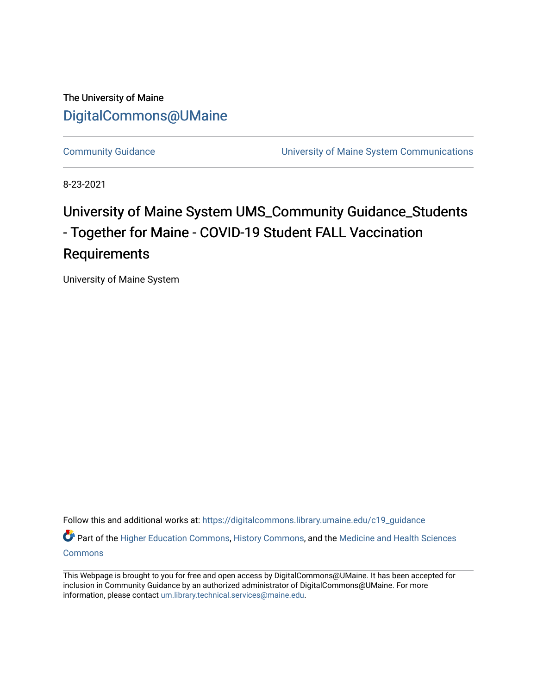The University of Maine [DigitalCommons@UMaine](https://digitalcommons.library.umaine.edu/)

[Community Guidance](https://digitalcommons.library.umaine.edu/c19_guidance) [University of Maine System Communications](https://digitalcommons.library.umaine.edu/c19_ums) 

8-23-2021

#### University of Maine System UMS\_Community Guidance\_Students - Together for Maine - COVID-19 Student FALL Vaccination Requirements

University of Maine System

Follow this and additional works at: [https://digitalcommons.library.umaine.edu/c19\\_guidance](https://digitalcommons.library.umaine.edu/c19_guidance?utm_source=digitalcommons.library.umaine.edu%2Fc19_guidance%2F96&utm_medium=PDF&utm_campaign=PDFCoverPages) Part of the [Higher Education Commons,](http://network.bepress.com/hgg/discipline/1245?utm_source=digitalcommons.library.umaine.edu%2Fc19_guidance%2F96&utm_medium=PDF&utm_campaign=PDFCoverPages) [History Commons,](http://network.bepress.com/hgg/discipline/489?utm_source=digitalcommons.library.umaine.edu%2Fc19_guidance%2F96&utm_medium=PDF&utm_campaign=PDFCoverPages) and the Medicine and Health Sciences

[Commons](http://network.bepress.com/hgg/discipline/648?utm_source=digitalcommons.library.umaine.edu%2Fc19_guidance%2F96&utm_medium=PDF&utm_campaign=PDFCoverPages)

This Webpage is brought to you for free and open access by DigitalCommons@UMaine. It has been accepted for inclusion in Community Guidance by an authorized administrator of DigitalCommons@UMaine. For more information, please contact [um.library.technical.services@maine.edu](mailto:um.library.technical.services@maine.edu).